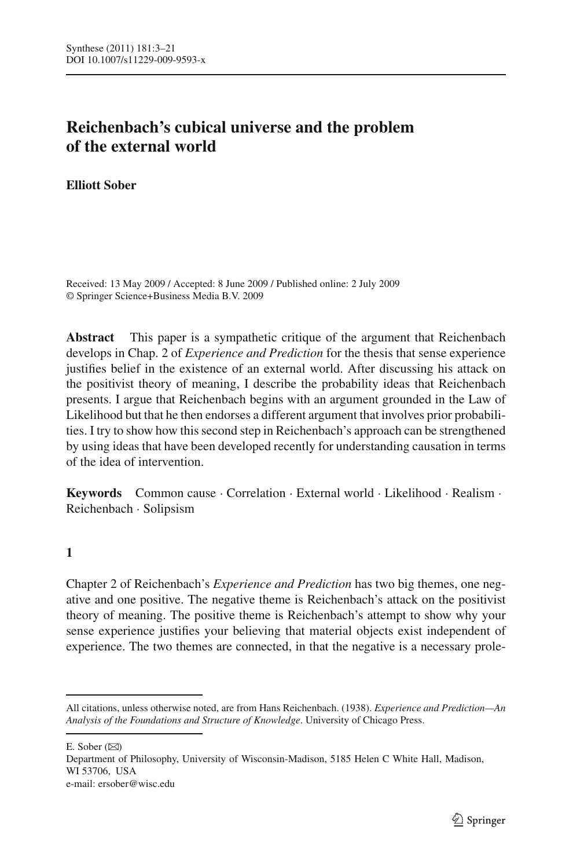# **Reichenbach's cubical universe and the problem of the external world**

**Elliott Sober**

Received: 13 May 2009 / Accepted: 8 June 2009 / Published online: 2 July 2009 © Springer Science+Business Media B.V. 2009

**Abstract** This paper is a sympathetic critique of the argument that Reichenbach develops in Chap. 2 of *Experience and Prediction* for the thesis that sense experience justifies belief in the existence of an external world. After discussing his attack on the positivist theory of meaning, I describe the probability ideas that Reichenbach presents. I argue that Reichenbach begins with an argument grounded in the Law of Likelihood but that he then endorses a different argument that involves prior probabilities. I try to show how this second step in Reichenbach's approach can be strengthened by using ideas that have been developed recently for understanding causation in terms of the idea of intervention.

**Keywords** Common cause · Correlation · External world · Likelihood · Realism · Reichenbach · Solipsism

## **1**

Chapter 2 of Reichenbach's *Experience and Prediction* has two big themes, one negative and one positive. The negative theme is Reichenbach's attack on the positivist theory of meaning. The positive theme is Reichenbach's attempt to show why your sense experience justifies your believing that material objects exist independent of experience. The two themes are connected, in that the negative is a necessary prole-

E. Sober  $(\boxtimes)$ 

Department of Philosophy, University of Wisconsin-Madison, 5185 Helen C White Hall, Madison, WI 53706, USA e-mail: ersober@wisc.edu

All citations, unless otherwise noted, are from Hans Reichenbach. (1938). *Experience and Prediction—An Analysis of the Foundations and Structure of Knowledge*. University of Chicago Press.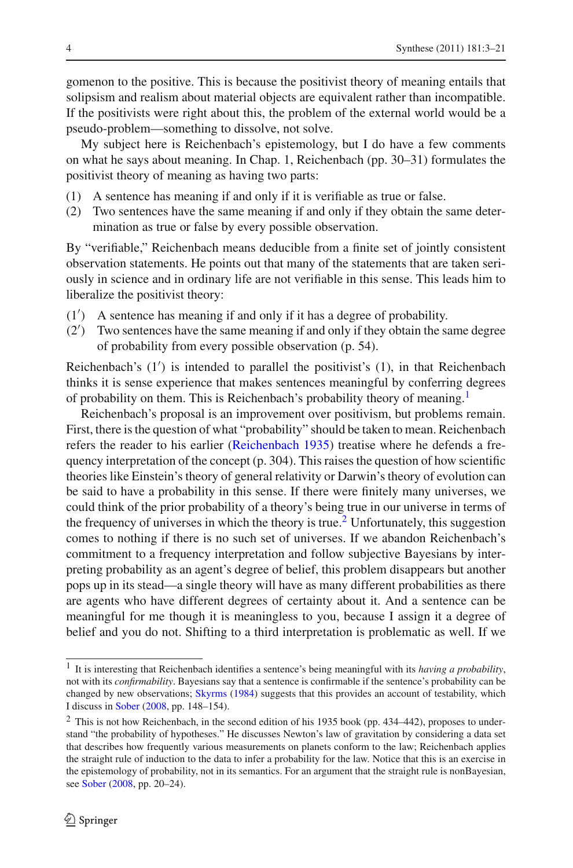gomenon to the positive. This is because the positivist theory of meaning entails that solipsism and realism about material objects are equivalent rather than incompatible. If the positivists were right about this, the problem of the external world would be a pseudo-problem—something to dissolve, not solve.

My subject here is Reichenbach's epistemology, but I do have a few comments on what he says about meaning. In Chap. 1, Reichenbach (pp. 30–31) formulates the positivist theory of meaning as having two parts:

- (1) A sentence has meaning if and only if it is verifiable as true or false.
- (2) Two sentences have the same meaning if and only if they obtain the same determination as true or false by every possible observation.

By "verifiable," Reichenbach means deducible from a finite set of jointly consistent observation statements. He points out that many of the statements that are taken seriously in science and in ordinary life are not verifiable in this sense. This leads him to liberalize the positivist theory:

- *(*1- *)* A sentence has meaning if and only if it has a degree of probability.
- (2<sup>'</sup>) Two sentences have the same meaning if and only if they obtain the same degree of probability from every possible observation (p. 54).

Reichenbach's (1<sup>'</sup>) is intended to parallel the positivist's (1), in that Reichenbach thinks it is sense experience that makes sentences meaningful by conferring degrees of probability on them. This is Reichenbach's probability theory of meaning.<sup>1</sup>

Reichenbach's proposal is an improvement over positivism, but problems remain. First, there is the question of what "probability" should be taken to mean. Reichenbach refers the reader to his earlier (Reichenbach 1935) treatise where he defends a frequency interpretation of the concept (p. 304). This raises the question of how scientific theories like Einstein's theory of general relativity or Darwin's theory of evolution can be said to have a probability in this sense. If there were finitely many universes, we could think of the prior probability of a theory's being true in our universe in terms of the frequency of universes in which the theory is true.<sup>2</sup> Unfortunately, this suggestion comes to nothing if there is no such set of universes. If we abandon Reichenbach's commitment to a frequency interpretation and follow subjective Bayesians by interpreting probability as an agent's degree of belief, this problem disappears but another pops up in its stead—a single theory will have as many different probabilities as there are agents who have different degrees of certainty about it. And a sentence can be meaningful for me though it is meaningless to you, because I assign it a degree of belief and you do not. Shifting to a third interpretation is problematic as well. If we

<sup>1</sup> It is interesting that Reichenbach identifies a sentence's being meaningful with its *having a probability*, not with its *confirmability*. Bayesians say that a sentence is confirmable if the sentence's probability can be changed by new observations; Skyrms (1984) suggests that this provides an account of testability, which I discuss in Sober (2008, pp. 148–154).

 $2$  This is not how Reichenbach, in the second edition of his 1935 book (pp. 434–442), proposes to understand "the probability of hypotheses." He discusses Newton's law of gravitation by considering a data set that describes how frequently various measurements on planets conform to the law; Reichenbach applies the straight rule of induction to the data to infer a probability for the law. Notice that this is an exercise in the epistemology of probability, not in its semantics. For an argument that the straight rule is nonBayesian, see Sober (2008, pp. 20–24).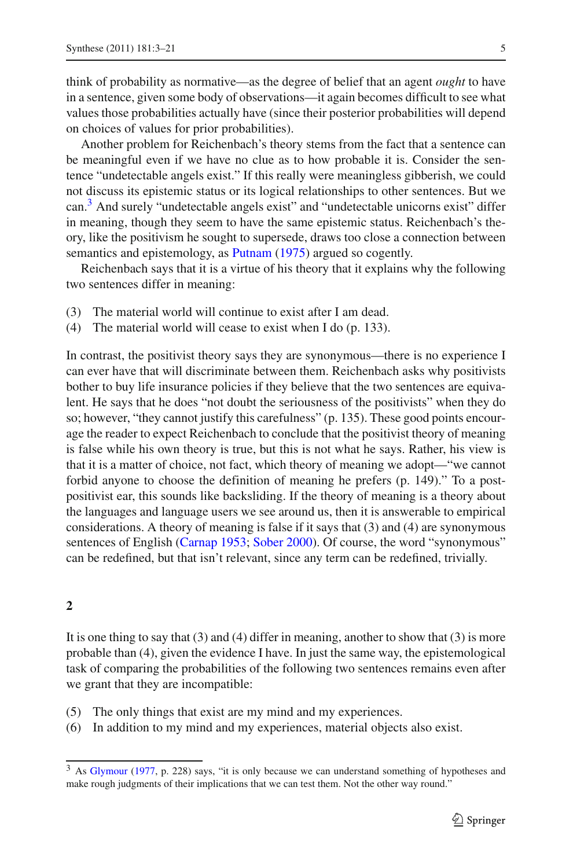think of probability as normative—as the degree of belief that an agent *ought* to have in a sentence, given some body of observations—it again becomes difficult to see what values those probabilities actually have (since their posterior probabilities will depend on choices of values for prior probabilities).

Another problem for Reichenbach's theory stems from the fact that a sentence can be meaningful even if we have no clue as to how probable it is. Consider the sentence "undetectable angels exist." If this really were meaningless gibberish, we could not discuss its epistemic status or its logical relationships to other sentences. But we can.<sup>3</sup> And surely "undetectable angels exist" and "undetectable unicorns exist" differ in meaning, though they seem to have the same epistemic status. Reichenbach's theory, like the positivism he sought to supersede, draws too close a connection between semantics and epistemology, as Putnam (1975) argued so cogently.

Reichenbach says that it is a virtue of his theory that it explains why the following two sentences differ in meaning:

- (3) The material world will continue to exist after I am dead.
- (4) The material world will cease to exist when I do (p. 133).

In contrast, the positivist theory says they are synonymous—there is no experience I can ever have that will discriminate between them. Reichenbach asks why positivists bother to buy life insurance policies if they believe that the two sentences are equivalent. He says that he does "not doubt the seriousness of the positivists" when they do so; however, "they cannot justify this carefulness" (p. 135). These good points encourage the reader to expect Reichenbach to conclude that the positivist theory of meaning is false while his own theory is true, but this is not what he says. Rather, his view is that it is a matter of choice, not fact, which theory of meaning we adopt—"we cannot forbid anyone to choose the definition of meaning he prefers (p. 149)." To a postpositivist ear, this sounds like backsliding. If the theory of meaning is a theory about the languages and language users we see around us, then it is answerable to empirical considerations. A theory of meaning is false if it says that (3) and (4) are synonymous sentences of English (Carnap 1953; Sober 2000). Of course, the word "synonymous" can be redefined, but that isn't relevant, since any term can be redefined, trivially.

#### **2**

It is one thing to say that (3) and (4) differ in meaning, another to show that (3) is more probable than (4), given the evidence I have. In just the same way, the epistemological task of comparing the probabilities of the following two sentences remains even after we grant that they are incompatible:

- (5) The only things that exist are my mind and my experiences.
- (6) In addition to my mind and my experiences, material objects also exist.

<sup>3</sup> As Glymour (1977, p. 228) says, "it is only because we can understand something of hypotheses and make rough judgments of their implications that we can test them. Not the other way round."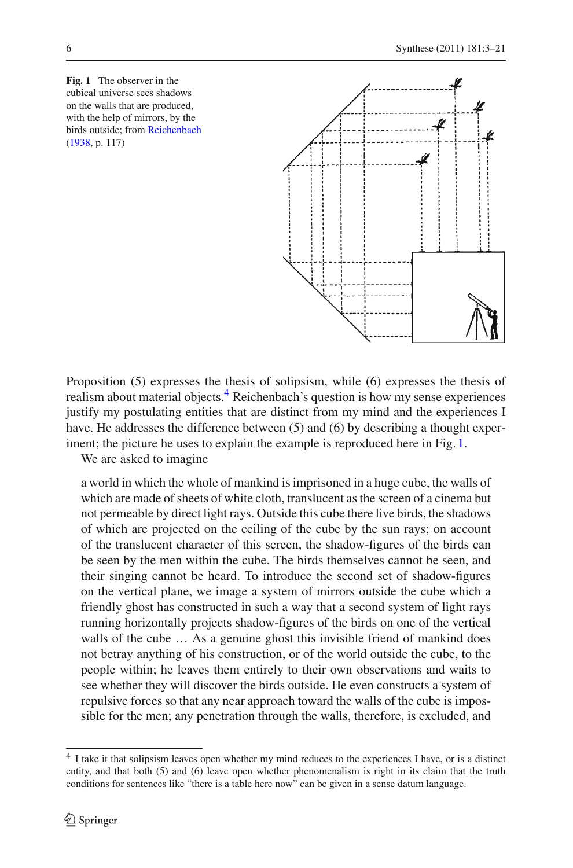



Proposition (5) expresses the thesis of solipsism, while (6) expresses the thesis of realism about material objects. $4$  Reichenbach's question is how my sense experiences justify my postulating entities that are distinct from my mind and the experiences I have. He addresses the difference between (5) and (6) by describing a thought experiment; the picture he uses to explain the example is reproduced here in Fig. 1.

We are asked to imagine

a world in which the whole of mankind is imprisoned in a huge cube, the walls of which are made of sheets of white cloth, translucent as the screen of a cinema but not permeable by direct light rays. Outside this cube there live birds, the shadows of which are projected on the ceiling of the cube by the sun rays; on account of the translucent character of this screen, the shadow-figures of the birds can be seen by the men within the cube. The birds themselves cannot be seen, and their singing cannot be heard. To introduce the second set of shadow-figures on the vertical plane, we image a system of mirrors outside the cube which a friendly ghost has constructed in such a way that a second system of light rays running horizontally projects shadow-figures of the birds on one of the vertical walls of the cube ... As a genuine ghost this invisible friend of mankind does not betray anything of his construction, or of the world outside the cube, to the people within; he leaves them entirely to their own observations and waits to see whether they will discover the birds outside. He even constructs a system of repulsive forces so that any near approach toward the walls of the cube is impossible for the men; any penetration through the walls, therefore, is excluded, and

<sup>4</sup> I take it that solipsism leaves open whether my mind reduces to the experiences I have, or is a distinct entity, and that both (5) and (6) leave open whether phenomenalism is right in its claim that the truth conditions for sentences like "there is a table here now" can be given in a sense datum language.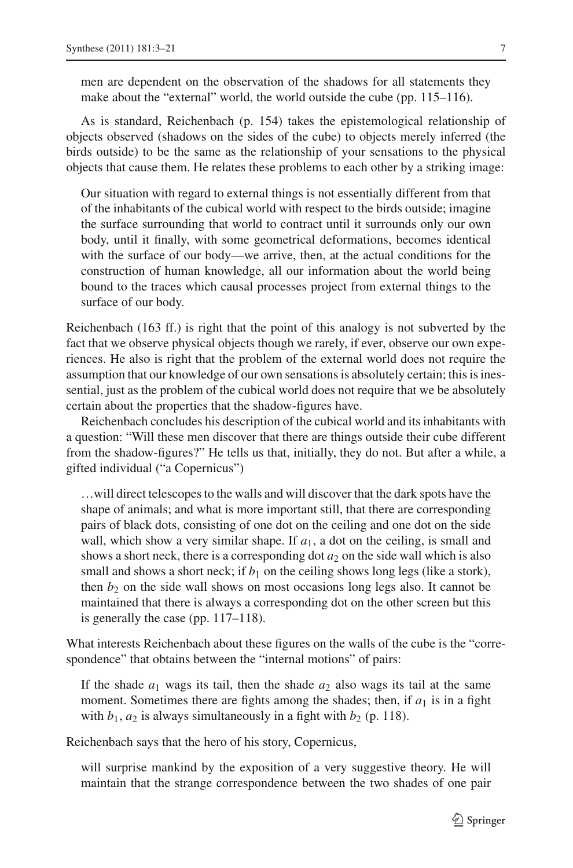men are dependent on the observation of the shadows for all statements they make about the "external" world, the world outside the cube (pp. 115–116).

As is standard, Reichenbach (p. 154) takes the epistemological relationship of objects observed (shadows on the sides of the cube) to objects merely inferred (the birds outside) to be the same as the relationship of your sensations to the physical objects that cause them. He relates these problems to each other by a striking image:

Our situation with regard to external things is not essentially different from that of the inhabitants of the cubical world with respect to the birds outside; imagine the surface surrounding that world to contract until it surrounds only our own body, until it finally, with some geometrical deformations, becomes identical with the surface of our body—we arrive, then, at the actual conditions for the construction of human knowledge, all our information about the world being bound to the traces which causal processes project from external things to the surface of our body.

Reichenbach (163 ff.) is right that the point of this analogy is not subverted by the fact that we observe physical objects though we rarely, if ever, observe our own experiences. He also is right that the problem of the external world does not require the assumption that our knowledge of our own sensations is absolutely certain; this is inessential, just as the problem of the cubical world does not require that we be absolutely certain about the properties that the shadow-figures have.

Reichenbach concludes his description of the cubical world and its inhabitants with a question: "Will these men discover that there are things outside their cube different from the shadow-figures?" He tells us that, initially, they do not. But after a while, a gifted individual ("a Copernicus")

…will direct telescopes to the walls and will discover that the dark spots have the shape of animals; and what is more important still, that there are corresponding pairs of black dots, consisting of one dot on the ceiling and one dot on the side wall, which show a very similar shape. If  $a_1$ , a dot on the ceiling, is small and shows a short neck, there is a corresponding dot  $a_2$  on the side wall which is also small and shows a short neck; if  $b_1$  on the ceiling shows long legs (like a stork), then  $b_2$  on the side wall shows on most occasions long legs also. It cannot be maintained that there is always a corresponding dot on the other screen but this is generally the case (pp. 117–118).

What interests Reichenbach about these figures on the walls of the cube is the "correspondence" that obtains between the "internal motions" of pairs:

If the shade  $a_1$  wags its tail, then the shade  $a_2$  also wags its tail at the same moment. Sometimes there are fights among the shades; then, if  $a_1$  is in a fight with  $b_1$ ,  $a_2$  is always simultaneously in a fight with  $b_2$  (p. 118).

Reichenbach says that the hero of his story, Copernicus,

will surprise mankind by the exposition of a very suggestive theory. He will maintain that the strange correspondence between the two shades of one pair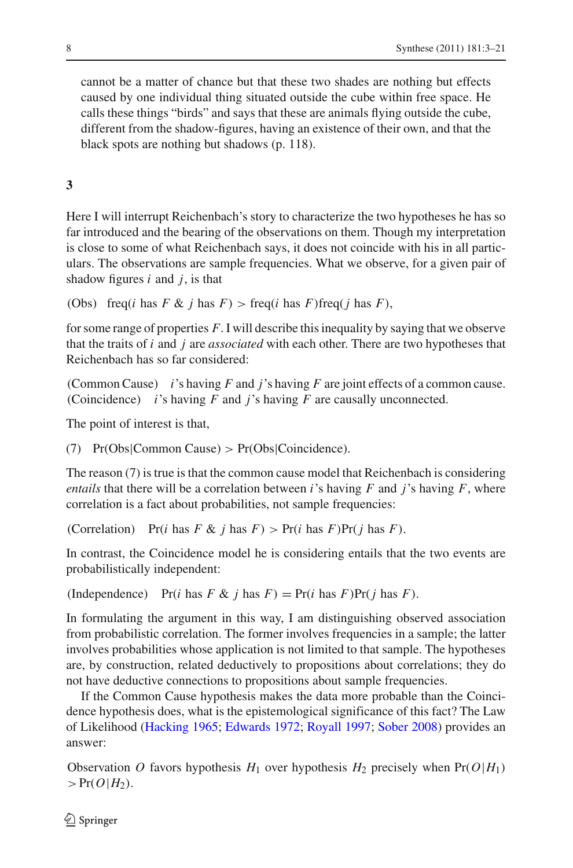cannot be a matter of chance but that these two shades are nothing but effects caused by one individual thing situated outside the cube within free space. He calls these things "birds" and says that these are animals flying outside the cube, different from the shadow-figures, having an existence of their own, and that the black spots are nothing but shadows (p. 118).

### **3**

Here I will interrupt Reichenbach's story to characterize the two hypotheses he has so far introduced and the bearing of the observations on them. Though my interpretation is close to some of what Reichenbach says, it does not coincide with his in all particulars. The observations are sample frequencies. What we observe, for a given pair of shadow figures *i* and *j*, is that

(Obs) freq(*i* has  $F \& j$  has  $F$ ) > freq(*i* has  $F$ )freq(*j* has  $F$ ),

for some range of properties *F.*I will describe this inequality by saying that we observe that the traits of *i* and *j* are *associated* with each other. There are two hypotheses that Reichenbach has so far considered:

(Common Cause) *i*'s having *F* and *j*'s having *F* are joint effects of a common cause. (Coincidence) *i*'s having *F* and *j*'s having *F* are causally unconnected.

The point of interest is that,

(7) Pr(Obs|Common Cause) *>* Pr(Obs|Coincidence).

The reason (7) is true is that the common cause model that Reichenbach is considering *entails* that there will be a correlation between *i*'s having *F* and *j*'s having *F*, where correlation is a fact about probabilities, not sample frequencies:

(Correlation) Pr(*i* has  $F \& j$  has  $F$ ) > Pr(*i* has  $F$ )Pr(*j* has  $F$ ).

In contrast, the Coincidence model he is considering entails that the two events are probabilistically independent:

```
(Independence) Pr(i has F \& j has F) = Pr(i has F)Pr(j has F).
```
In formulating the argument in this way, I am distinguishing observed association from probabilistic correlation. The former involves frequencies in a sample; the latter involves probabilities whose application is not limited to that sample. The hypotheses are, by construction, related deductively to propositions about correlations; they do not have deductive connections to propositions about sample frequencies.

If the Common Cause hypothesis makes the data more probable than the Coincidence hypothesis does, what is the epistemological significance of this fact? The Law of Likelihood (Hacking 1965; Edwards 1972; Royall 1997; Sober 2008) provides an answer:

Observation *O* favors hypothesis  $H_1$  over hypothesis  $H_2$  precisely when  $Pr(O|H_1)$  $>Pr(O|H_2)$ .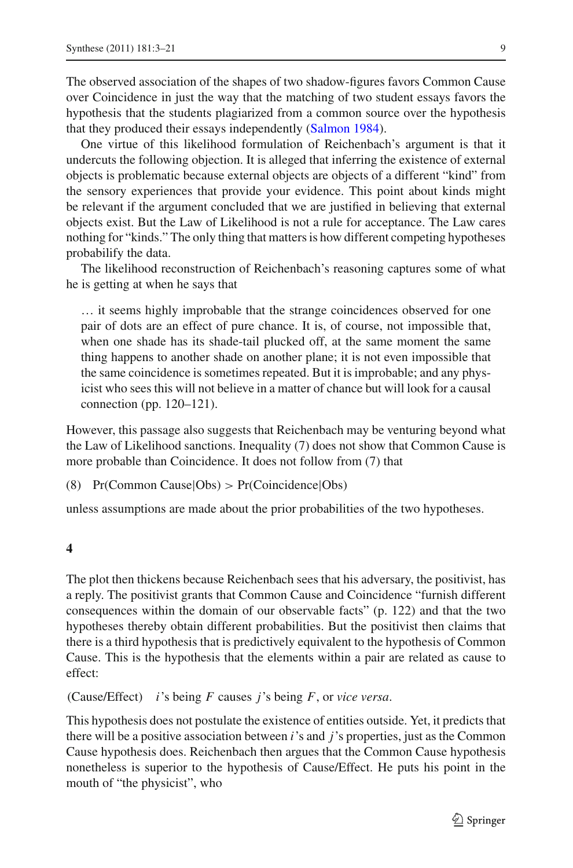The observed association of the shapes of two shadow-figures favors Common Cause over Coincidence in just the way that the matching of two student essays favors the hypothesis that the students plagiarized from a common source over the hypothesis that they produced their essays independently (Salmon 1984).

One virtue of this likelihood formulation of Reichenbach's argument is that it undercuts the following objection. It is alleged that inferring the existence of external objects is problematic because external objects are objects of a different "kind" from the sensory experiences that provide your evidence. This point about kinds might be relevant if the argument concluded that we are justified in believing that external objects exist. But the Law of Likelihood is not a rule for acceptance. The Law cares nothing for "kinds." The only thing that matters is how different competing hypotheses probabilify the data.

The likelihood reconstruction of Reichenbach's reasoning captures some of what he is getting at when he says that

… it seems highly improbable that the strange coincidences observed for one pair of dots are an effect of pure chance. It is, of course, not impossible that, when one shade has its shade-tail plucked off, at the same moment the same thing happens to another shade on another plane; it is not even impossible that the same coincidence is sometimes repeated. But it is improbable; and any physicist who sees this will not believe in a matter of chance but will look for a causal connection (pp. 120–121).

However, this passage also suggests that Reichenbach may be venturing beyond what the Law of Likelihood sanctions. Inequality (7) does not show that Common Cause is more probable than Coincidence. It does not follow from (7) that

(8) Pr(Common Cause|Obs) *>* Pr(Coincidence|Obs)

unless assumptions are made about the prior probabilities of the two hypotheses.

#### **4**

The plot then thickens because Reichenbach sees that his adversary, the positivist, has a reply. The positivist grants that Common Cause and Coincidence "furnish different consequences within the domain of our observable facts" (p. 122) and that the two hypotheses thereby obtain different probabilities. But the positivist then claims that there is a third hypothesis that is predictively equivalent to the hypothesis of Common Cause. This is the hypothesis that the elements within a pair are related as cause to effect:

(Cause/Effect) *i*'s being *F* causes *j*'s being *F*, or *vice versa*.

This hypothesis does not postulate the existence of entities outside. Yet, it predicts that there will be a positive association between *i*'s and *j*'s properties, just as the Common Cause hypothesis does. Reichenbach then argues that the Common Cause hypothesis nonetheless is superior to the hypothesis of Cause/Effect. He puts his point in the mouth of "the physicist", who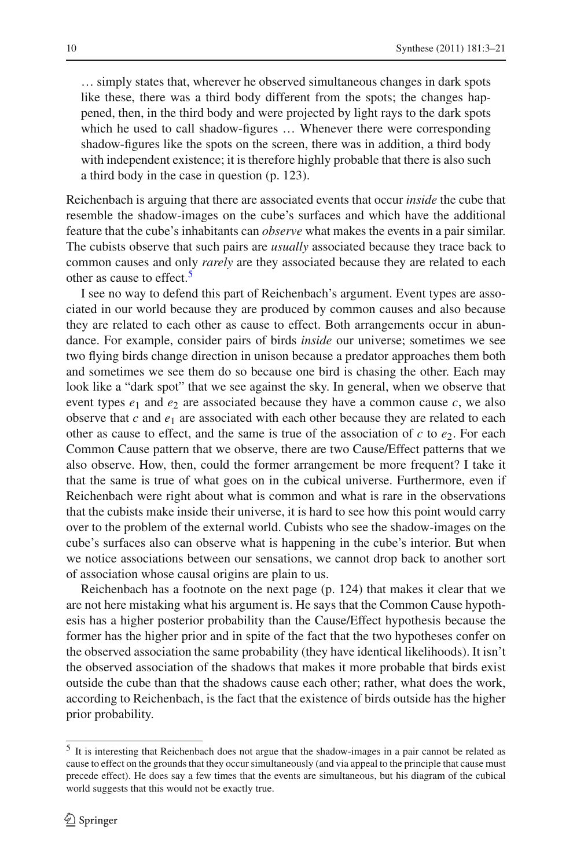… simply states that, wherever he observed simultaneous changes in dark spots like these, there was a third body different from the spots; the changes happened, then, in the third body and were projected by light rays to the dark spots which he used to call shadow-figures ... Whenever there were corresponding shadow-figures like the spots on the screen, there was in addition, a third body with independent existence; it is therefore highly probable that there is also such a third body in the case in question (p. 123).

Reichenbach is arguing that there are associated events that occur *inside* the cube that resemble the shadow-images on the cube's surfaces and which have the additional feature that the cube's inhabitants can *observe* what makes the events in a pair similar. The cubists observe that such pairs are *usually* associated because they trace back to common causes and only *rarely* are they associated because they are related to each other as cause to effect.<sup>5</sup>

I see no way to defend this part of Reichenbach's argument. Event types are associated in our world because they are produced by common causes and also because they are related to each other as cause to effect. Both arrangements occur in abundance. For example, consider pairs of birds *inside* our universe; sometimes we see two flying birds change direction in unison because a predator approaches them both and sometimes we see them do so because one bird is chasing the other. Each may look like a "dark spot" that we see against the sky. In general, when we observe that event types  $e_1$  and  $e_2$  are associated because they have a common cause  $c$ , we also observe that  $c$  and  $e_1$  are associated with each other because they are related to each other as cause to effect, and the same is true of the association of  $c$  to  $e_2$ . For each Common Cause pattern that we observe, there are two Cause/Effect patterns that we also observe. How, then, could the former arrangement be more frequent? I take it that the same is true of what goes on in the cubical universe. Furthermore, even if Reichenbach were right about what is common and what is rare in the observations that the cubists make inside their universe, it is hard to see how this point would carry over to the problem of the external world. Cubists who see the shadow-images on the cube's surfaces also can observe what is happening in the cube's interior. But when we notice associations between our sensations, we cannot drop back to another sort of association whose causal origins are plain to us.

Reichenbach has a footnote on the next page (p. 124) that makes it clear that we are not here mistaking what his argument is. He says that the Common Cause hypothesis has a higher posterior probability than the Cause/Effect hypothesis because the former has the higher prior and in spite of the fact that the two hypotheses confer on the observed association the same probability (they have identical likelihoods). It isn't the observed association of the shadows that makes it more probable that birds exist outside the cube than that the shadows cause each other; rather, what does the work, according to Reichenbach, is the fact that the existence of birds outside has the higher prior probability.

<sup>5</sup> It is interesting that Reichenbach does not argue that the shadow-images in a pair cannot be related as cause to effect on the grounds that they occur simultaneously (and via appeal to the principle that cause must precede effect). He does say a few times that the events are simultaneous, but his diagram of the cubical world suggests that this would not be exactly true.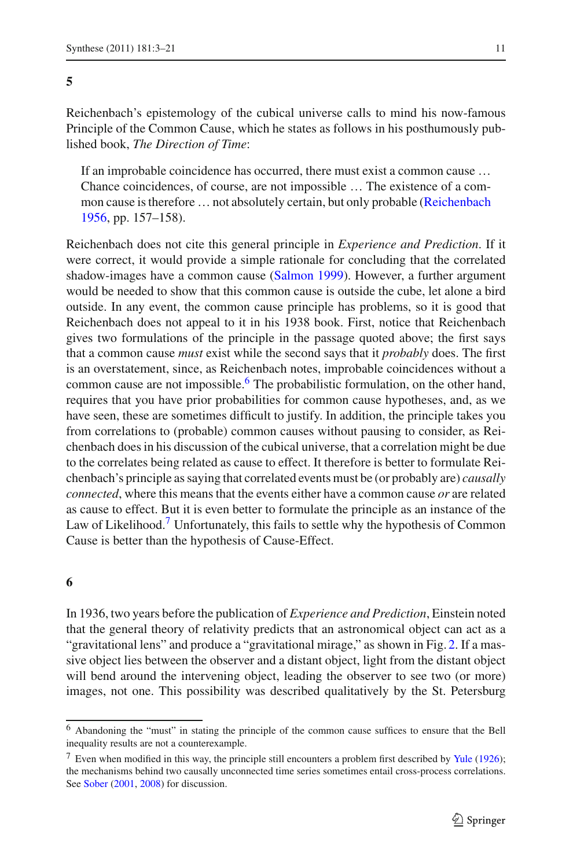#### **5**

Reichenbach's epistemology of the cubical universe calls to mind his now-famous Principle of the Common Cause, which he states as follows in his posthumously published book, *The Direction of Time*:

If an improbable coincidence has occurred, there must exist a common cause … Chance coincidences, of course, are not impossible … The existence of a common cause is therefore … not absolutely certain, but only probable (Reichenbach 1956, pp. 157–158).

Reichenbach does not cite this general principle in *Experience and Prediction*. If it were correct, it would provide a simple rationale for concluding that the correlated shadow-images have a common cause (Salmon 1999). However, a further argument would be needed to show that this common cause is outside the cube, let alone a bird outside. In any event, the common cause principle has problems, so it is good that Reichenbach does not appeal to it in his 1938 book. First, notice that Reichenbach gives two formulations of the principle in the passage quoted above; the first says that a common cause *must* exist while the second says that it *probably* does. The first is an overstatement, since, as Reichenbach notes, improbable coincidences without a common cause are not impossible.<sup>6</sup> The probabilistic formulation, on the other hand, requires that you have prior probabilities for common cause hypotheses, and, as we have seen, these are sometimes difficult to justify. In addition, the principle takes you from correlations to (probable) common causes without pausing to consider, as Reichenbach does in his discussion of the cubical universe, that a correlation might be due to the correlates being related as cause to effect. It therefore is better to formulate Reichenbach's principle as saying that correlated events must be (or probably are) *causally connected*, where this means that the events either have a common cause *or* are related as cause to effect. But it is even better to formulate the principle as an instance of the Law of Likelihood.<sup>7</sup> Unfortunately, this fails to settle why the hypothesis of Common Cause is better than the hypothesis of Cause-Effect.

#### **6**

In 1936, two years before the publication of *Experience and Prediction*, Einstein noted that the general theory of relativity predicts that an astronomical object can act as a "gravitational lens" and produce a "gravitational mirage," as shown in Fig. 2. If a massive object lies between the observer and a distant object, light from the distant object will bend around the intervening object, leading the observer to see two (or more) images, not one. This possibility was described qualitatively by the St. Petersburg

<sup>6</sup> Abandoning the "must" in stating the principle of the common cause suffices to ensure that the Bell inequality results are not a counterexample.

 $<sup>7</sup>$  Even when modified in this way, the principle still encounters a problem first described by Yule (1926);</sup> the mechanisms behind two causally unconnected time series sometimes entail cross-process correlations. See Sober (2001, 2008) for discussion.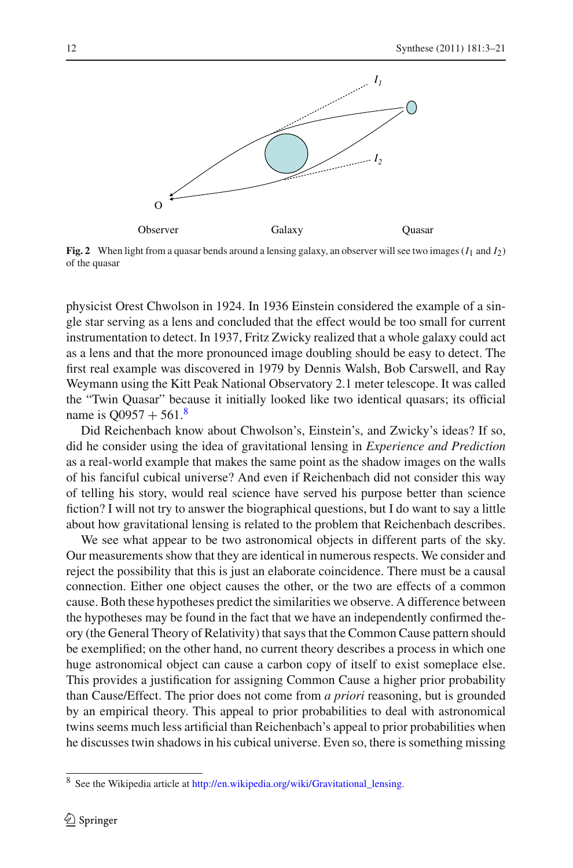

**Fig. 2** When light from a quasar bends around a lensing galaxy, an observer will see two images  $(I_1 \text{ and } I_2)$ of the quasar

physicist Orest Chwolson in 1924. In 1936 Einstein considered the example of a single star serving as a lens and concluded that the effect would be too small for current instrumentation to detect. In 1937, Fritz Zwicky realized that a whole galaxy could act as a lens and that the more pronounced image doubling should be easy to detect. The first real example was discovered in 1979 by Dennis Walsh, Bob Carswell, and Ray Weymann using the Kitt Peak National Observatory 2.1 meter telescope. It was called the "Twin Quasar" because it initially looked like two identical quasars; its official name is  $Q0957 + 561$ .<sup>8</sup>

Did Reichenbach know about Chwolson's, Einstein's, and Zwicky's ideas? If so, did he consider using the idea of gravitational lensing in *Experience and Prediction* as a real-world example that makes the same point as the shadow images on the walls of his fanciful cubical universe? And even if Reichenbach did not consider this way of telling his story, would real science have served his purpose better than science fiction? I will not try to answer the biographical questions, but I do want to say a little about how gravitational lensing is related to the problem that Reichenbach describes.

We see what appear to be two astronomical objects in different parts of the sky. Our measurements show that they are identical in numerous respects. We consider and reject the possibility that this is just an elaborate coincidence. There must be a causal connection. Either one object causes the other, or the two are effects of a common cause. Both these hypotheses predict the similarities we observe. A difference between the hypotheses may be found in the fact that we have an independently confirmed theory (the General Theory of Relativity) that says that the Common Cause pattern should be exemplified; on the other hand, no current theory describes a process in which one huge astronomical object can cause a carbon copy of itself to exist someplace else. This provides a justification for assigning Common Cause a higher prior probability than Cause/Effect. The prior does not come from *a priori* reasoning, but is grounded by an empirical theory. This appeal to prior probabilities to deal with astronomical twins seems much less artificial than Reichenbach's appeal to prior probabilities when he discusses twin shadows in his cubical universe. Even so, there is something missing

<sup>8</sup> See the Wikipedia article at [http://en.wikipedia.org/wiki/Gravitational\\_lensing.](http://en.wikipedia.org/wiki/Gravitational_lensing)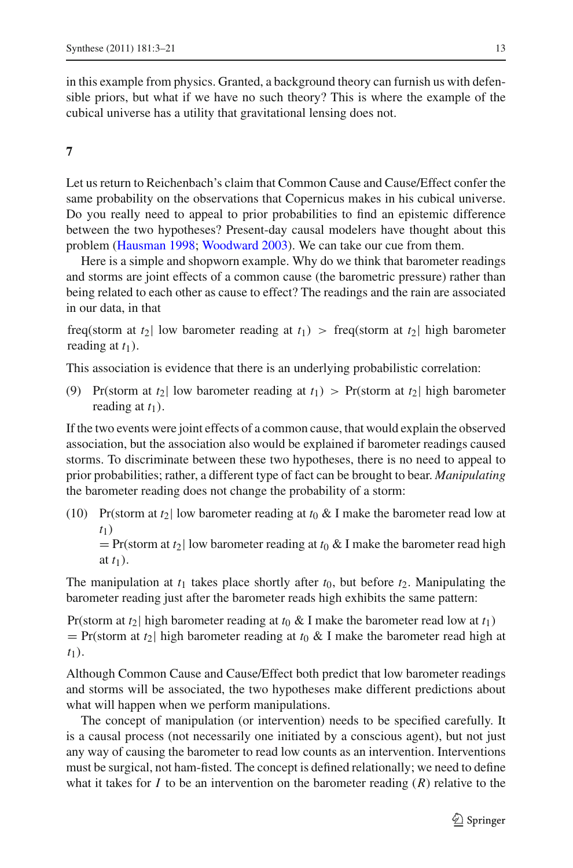in this example from physics. Granted, a background theory can furnish us with defensible priors, but what if we have no such theory? This is where the example of the cubical universe has a utility that gravitational lensing does not.

### **7**

Let us return to Reichenbach's claim that Common Cause and Cause/Effect confer the same probability on the observations that Copernicus makes in his cubical universe. Do you really need to appeal to prior probabilities to find an epistemic difference between the two hypotheses? Present-day causal modelers have thought about this problem (Hausman 1998; Woodward 2003). We can take our cue from them.

Here is a simple and shopworn example. Why do we think that barometer readings and storms are joint effects of a common cause (the barometric pressure) rather than being related to each other as cause to effect? The readings and the rain are associated in our data, in that

freq(storm at  $t_2$ ) low barometer reading at  $t_1$ ) > freq(storm at  $t_2$ ) high barometer reading at  $t_1$ ).

This association is evidence that there is an underlying probabilistic correlation:

(9) Pr(storm at  $t_2$  low barometer reading at  $t_1$ ) > Pr(storm at  $t_2$ ) high barometer reading at  $t_1$ ).

If the two events were joint effects of a common cause, that would explain the observed association, but the association also would be explained if barometer readings caused storms. To discriminate between these two hypotheses, there is no need to appeal to prior probabilities; rather, a different type of fact can be brought to bear. *Manipulating* the barometer reading does not change the probability of a storm:

(10) Pr(storm at  $t_2$  low barometer reading at  $t_0 \&$  I make the barometer read low at *t*1*)*

 $=$  Pr(storm at *t*<sub>2</sub> low barometer reading at *t*<sub>0</sub> & I make the barometer read high at  $t_1$ ).

The manipulation at  $t_1$  takes place shortly after  $t_0$ , but before  $t_2$ . Manipulating the barometer reading just after the barometer reads high exhibits the same pattern:

Pr(storm at  $t_2$  high barometer reading at  $t_0 \&$  I make the barometer read low at  $t_1$ )  $=$  Pr(storm at  $t_2$  high barometer reading at  $t_0 \&$  I make the barometer read high at *t*1*)*.

Although Common Cause and Cause/Effect both predict that low barometer readings and storms will be associated, the two hypotheses make different predictions about what will happen when we perform manipulations.

The concept of manipulation (or intervention) needs to be specified carefully. It is a causal process (not necessarily one initiated by a conscious agent), but not just any way of causing the barometer to read low counts as an intervention. Interventions must be surgical, not ham-fisted. The concept is defined relationally; we need to define what it takes for *I* to be an intervention on the barometer reading  $(R)$  relative to the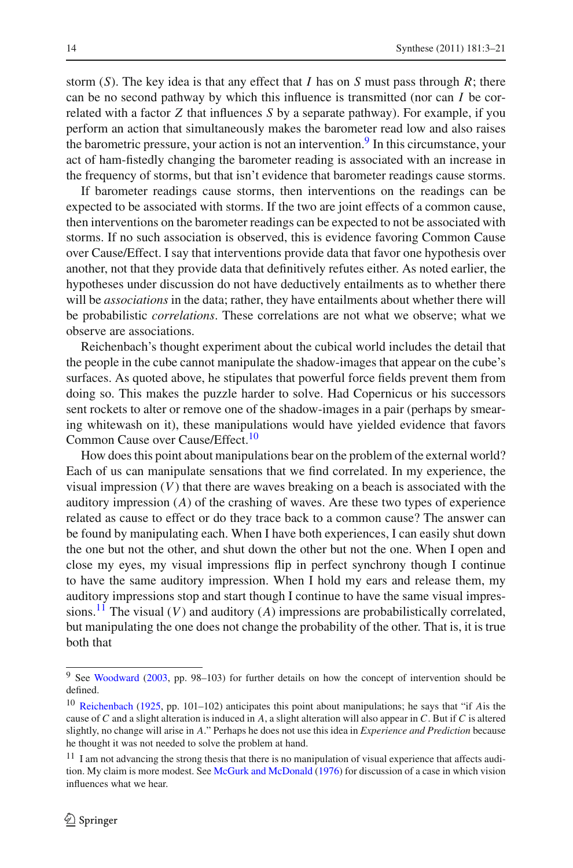storm (*S*). The key idea is that any effect that *I* has on *S* must pass through *R*; there can be no second pathway by which this influence is transmitted (nor can *I* be correlated with a factor *Z* that influences *S* by a separate pathway). For example, if you perform an action that simultaneously makes the barometer read low and also raises the barometric pressure, your action is not an intervention.<sup>9</sup> In this circumstance, your act of ham-fistedly changing the barometer reading is associated with an increase in the frequency of storms, but that isn't evidence that barometer readings cause storms.

If barometer readings cause storms, then interventions on the readings can be expected to be associated with storms. If the two are joint effects of a common cause, then interventions on the barometer readings can be expected to not be associated with storms. If no such association is observed, this is evidence favoring Common Cause over Cause/Effect. I say that interventions provide data that favor one hypothesis over another, not that they provide data that definitively refutes either. As noted earlier, the hypotheses under discussion do not have deductively entailments as to whether there will be *associations* in the data; rather, they have entailments about whether there will be probabilistic *correlations*. These correlations are not what we observe; what we observe are associations.

Reichenbach's thought experiment about the cubical world includes the detail that the people in the cube cannot manipulate the shadow-images that appear on the cube's surfaces. As quoted above, he stipulates that powerful force fields prevent them from doing so. This makes the puzzle harder to solve. Had Copernicus or his successors sent rockets to alter or remove one of the shadow-images in a pair (perhaps by smearing whitewash on it), these manipulations would have yielded evidence that favors Common Cause over Cause/Effect.<sup>10</sup>

How does this point about manipulations bear on the problem of the external world? Each of us can manipulate sensations that we find correlated. In my experience, the visual impression  $(V)$  that there are waves breaking on a beach is associated with the auditory impression (*A*) of the crashing of waves. Are these two types of experience related as cause to effect or do they trace back to a common cause? The answer can be found by manipulating each. When I have both experiences, I can easily shut down the one but not the other, and shut down the other but not the one. When I open and close my eyes, my visual impressions flip in perfect synchrony though I continue to have the same auditory impression. When I hold my ears and release them, my auditory impressions stop and start though I continue to have the same visual impressions.<sup>11</sup> The visual  $(V)$  and auditory  $(A)$  impressions are probabilistically correlated, but manipulating the one does not change the probability of the other. That is, it is true both that

<sup>9</sup> See Woodward (2003, pp. 98–103) for further details on how the concept of intervention should be defined.

<sup>10</sup> Reichenbach (1925, pp. 101–102) anticipates this point about manipulations; he says that "if *A*is the cause of *C* and a slight alteration is induced in *A*, a slight alteration will also appear in *C*. But if *C* is altered slightly, no change will arise in *A*." Perhaps he does not use this idea in *Experience and Prediction* because he thought it was not needed to solve the problem at hand.

<sup>&</sup>lt;sup>11</sup> I am not advancing the strong thesis that there is no manipulation of visual experience that affects audition. My claim is more modest. See McGurk and McDonald (1976) for discussion of a case in which vision influences what we hear.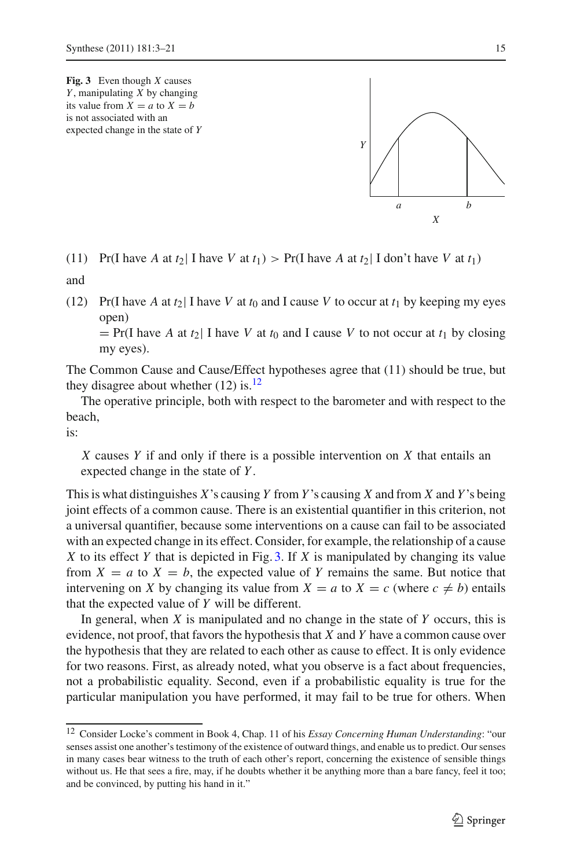**Fig. 3** Even though *X* causes *Y* , manipulating *X* by changing its value from  $X = a$  to  $X = b$ is not associated with an expected change in the state of *Y*



(11) Pr(I have *A* at  $t_2$  I have *V* at  $t_1$ ) > Pr(I have *A* at  $t_2$  I don't have *V* at  $t_1$ )

and

(12) Pr(I have *A* at  $t_2$ ) I have *V* at  $t_0$  and I cause *V* to occur at  $t_1$  by keeping my eyes open)

 $=$  Pr(I have *A* at  $t_2$ ) I have *V* at  $t_0$  and I cause *V* to not occur at  $t_1$  by closing my eyes).

The Common Cause and Cause/Effect hypotheses agree that (11) should be true, but they disagree about whether  $(12)$  is.<sup>12</sup>

The operative principle, both with respect to the barometer and with respect to the beach,

 $i_{S}$ :

*X* causes *Y* if and only if there is a possible intervention on *X* that entails an expected change in the state of *Y* .

This is what distinguishes *X*'s causing *Y* from *Y* 's causing *X* and from *X* and *Y* 's being joint effects of a common cause. There is an existential quantifier in this criterion, not a universal quantifier, because some interventions on a cause can fail to be associated with an expected change in its effect. Consider, for example, the relationship of a cause *X* to its effect *Y* that is depicted in Fig. 3. If *X* is manipulated by changing its value from  $X = a$  to  $X = b$ , the expected value of Y remains the same. But notice that intervening on *X* by changing its value from  $X = a$  to  $X = c$  (where  $c \neq b$ ) entails that the expected value of *Y* will be different.

In general, when *X* is manipulated and no change in the state of *Y* occurs, this is evidence, not proof, that favors the hypothesis that *X* and *Y* have a common cause over the hypothesis that they are related to each other as cause to effect. It is only evidence for two reasons. First, as already noted, what you observe is a fact about frequencies, not a probabilistic equality. Second, even if a probabilistic equality is true for the particular manipulation you have performed, it may fail to be true for others. When

<sup>12</sup> Consider Locke's comment in Book 4, Chap. 11 of his *Essay Concerning Human Understanding*: "our senses assist one another's testimony of the existence of outward things, and enable us to predict. Our senses in many cases bear witness to the truth of each other's report, concerning the existence of sensible things without us. He that sees a fire, may, if he doubts whether it be anything more than a bare fancy, feel it too; and be convinced, by putting his hand in it."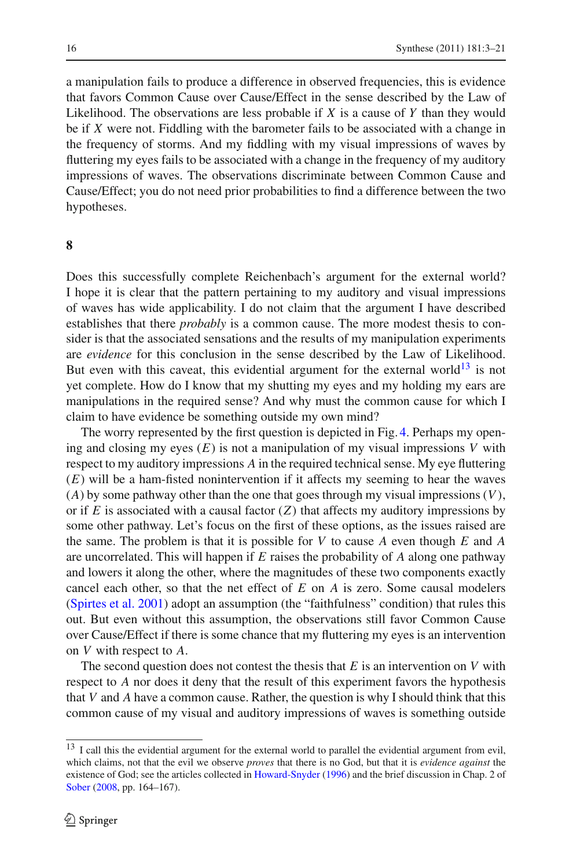a manipulation fails to produce a difference in observed frequencies, this is evidence that favors Common Cause over Cause/Effect in the sense described by the Law of Likelihood. The observations are less probable if *X* is a cause of *Y* than they would be if *X* were not. Fiddling with the barometer fails to be associated with a change in the frequency of storms. And my fiddling with my visual impressions of waves by fluttering my eyes fails to be associated with a change in the frequency of my auditory impressions of waves. The observations discriminate between Common Cause and Cause/Effect; you do not need prior probabilities to find a difference between the two hypotheses.

#### **8**

Does this successfully complete Reichenbach's argument for the external world? I hope it is clear that the pattern pertaining to my auditory and visual impressions of waves has wide applicability. I do not claim that the argument I have described establishes that there *probably* is a common cause. The more modest thesis to consider is that the associated sensations and the results of my manipulation experiments are *evidence* for this conclusion in the sense described by the Law of Likelihood. But even with this caveat, this evidential argument for the external world<sup>13</sup> is not yet complete. How do I know that my shutting my eyes and my holding my ears are manipulations in the required sense? And why must the common cause for which I claim to have evidence be something outside my own mind?

The worry represented by the first question is depicted in Fig. 4. Perhaps my opening and closing my eyes  $(E)$  is not a manipulation of my visual impressions  $V$  with respect to my auditory impressions *A* in the required technical sense. My eye fluttering (*E*) will be a ham-fisted nonintervention if it affects my seeming to hear the waves (*A*) by some pathway other than the one that goes through my visual impressions (*V)*, or if  $E$  is associated with a causal factor  $(Z)$  that affects my auditory impressions by some other pathway. Let's focus on the first of these options, as the issues raised are the same. The problem is that it is possible for *V* to cause *A* even though *E* and *A* are uncorrelated. This will happen if *E* raises the probability of *A* along one pathway and lowers it along the other, where the magnitudes of these two components exactly cancel each other, so that the net effect of *E* on *A* is zero. Some causal modelers (Spirtes et al. 2001) adopt an assumption (the "faithfulness" condition) that rules this out. But even without this assumption, the observations still favor Common Cause over Cause/Effect if there is some chance that my fluttering my eyes is an intervention on *V* with respect to *A*.

The second question does not contest the thesis that *E* is an intervention on *V* with respect to *A* nor does it deny that the result of this experiment favors the hypothesis that *V* and *A* have a common cause. Rather, the question is why I should think that this common cause of my visual and auditory impressions of waves is something outside

<sup>&</sup>lt;sup>13</sup> I call this the evidential argument for the external world to parallel the evidential argument from evil, which claims, not that the evil we observe *proves* that there is no God, but that it is *evidence against* the existence of God; see the articles collected in Howard-Snyder (1996) and the brief discussion in Chap. 2 of Sober (2008, pp. 164–167).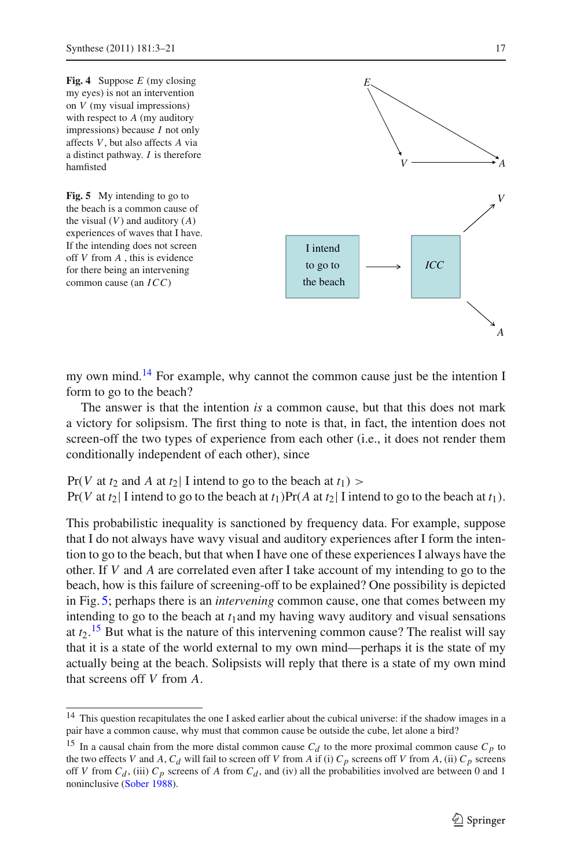**Fig. 4** Suppose *E* (my closing my eyes) is not an intervention on *V* (my visual impressions) with respect to *A* (my auditory impressions) because *I* not only affects *V*, but also affects *A* via a distinct pathway. *I* is therefore hamfisted *E*  $V \longrightarrow A$ **Fig. 5** My intending to go to the beach is a common cause of the visual (*V*) and auditory (*A*) experiences of waves that I have. If the intending does not screen off *V* from *A* , this is evidence for there being an intervening common cause (an *ICC*) *V* I intend to go to  $\overline{C}$ the beach

my own mind.<sup>14</sup> For example, why cannot the common cause just be the intention I form to go to the beach?

The answer is that the intention *is* a common cause, but that this does not mark a victory for solipsism. The first thing to note is that, in fact, the intention does not screen-off the two types of experience from each other (i.e., it does not render them conditionally independent of each other), since

 $Pr(V \text{ at } t_2 \text{ and } A \text{ at } t_2 | I \text{ intend to go to the beach at } t_1)$  $Pr(V \text{ at } t_2 | I \text{ intend to go to the beach at } t_1) Pr(A \text{ at } t_2 | I \text{ intend to go to the beach at } t_1)$ .

This probabilistic inequality is sanctioned by frequency data. For example, suppose that I do not always have wavy visual and auditory experiences after I form the intention to go to the beach, but that when I have one of these experiences I always have the other. If *V* and *A* are correlated even after I take account of my intending to go to the beach, how is this failure of screening-off to be explained? One possibility is depicted in Fig. 5; perhaps there is an *intervening* common cause, one that comes between my intending to go to the beach at  $t_1$  and my having wavy auditory and visual sensations at *t*2. <sup>15</sup> But what is the nature of this intervening common cause? The realist will say that it is a state of the world external to my own mind—perhaps it is the state of my actually being at the beach. Solipsists will reply that there is a state of my own mind that screens off *V* from *A*.

*A*

<sup>&</sup>lt;sup>14</sup> This question recapitulates the one I asked earlier about the cubical universe: if the shadow images in a pair have a common cause, why must that common cause be outside the cube, let alone a bird?

<sup>&</sup>lt;sup>15</sup> In a causal chain from the more distal common cause  $C_d$  to the more proximal common cause  $C_p$  to the two effects *V* and *A*,  $C_d$  will fail to screen off *V* from *A* if (i)  $C_p$  screens off *V* from *A*, (ii)  $C_p$  screens off *V* from  $C_d$ , (iii)  $C_p$  screens of *A* from  $C_d$ , and (iv) all the probabilities involved are between 0 and 1 noninclusive (Sober 1988).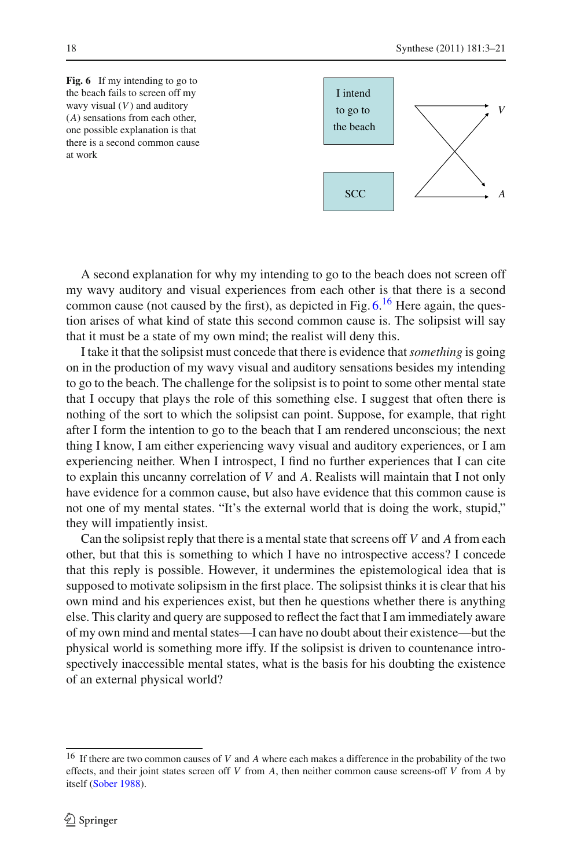



A second explanation for why my intending to go to the beach does not screen off my wavy auditory and visual experiences from each other is that there is a second common cause (not caused by the first), as depicted in Fig. 6.<sup>16</sup> Here again, the question arises of what kind of state this second common cause is. The solipsist will say that it must be a state of my own mind; the realist will deny this.

I take it that the solipsist must concede that there is evidence that*something* is going on in the production of my wavy visual and auditory sensations besides my intending to go to the beach. The challenge for the solipsist is to point to some other mental state that I occupy that plays the role of this something else. I suggest that often there is nothing of the sort to which the solipsist can point. Suppose, for example, that right after I form the intention to go to the beach that I am rendered unconscious; the next thing I know, I am either experiencing wavy visual and auditory experiences, or I am experiencing neither. When I introspect, I find no further experiences that I can cite to explain this uncanny correlation of *V* and *A*. Realists will maintain that I not only have evidence for a common cause, but also have evidence that this common cause is not one of my mental states. "It's the external world that is doing the work, stupid," they will impatiently insist.

Can the solipsist reply that there is a mental state that screens off *V* and *A* from each other, but that this is something to which I have no introspective access? I concede that this reply is possible. However, it undermines the epistemological idea that is supposed to motivate solipsism in the first place. The solipsist thinks it is clear that his own mind and his experiences exist, but then he questions whether there is anything else. This clarity and query are supposed to reflect the fact that I am immediately aware of my own mind and mental states—I can have no doubt about their existence—but the physical world is something more iffy. If the solipsist is driven to countenance introspectively inaccessible mental states, what is the basis for his doubting the existence of an external physical world?

<sup>16</sup> If there are two common causes of *V* and *A* where each makes a difference in the probability of the two effects, and their joint states screen off *V* from *A*, then neither common cause screens-off *V* from *A* by itself (Sober 1988).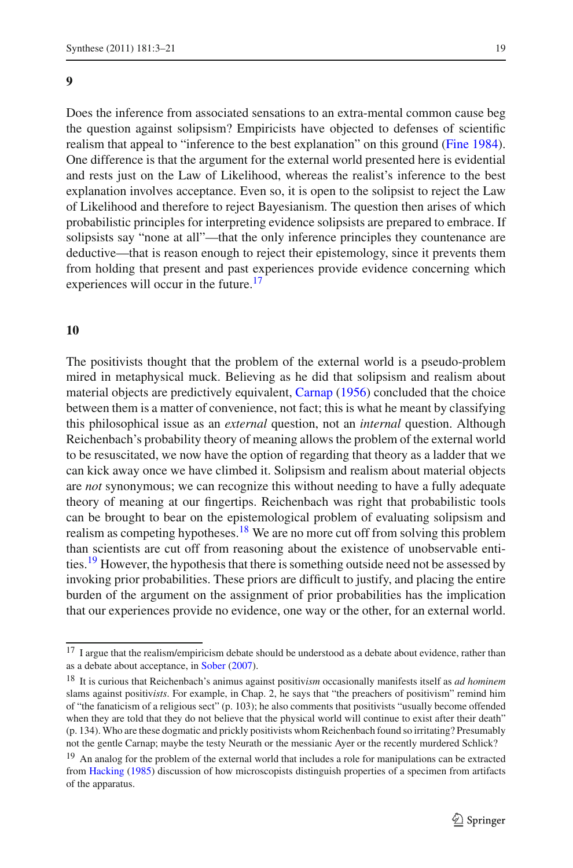#### **9**

the question against solipsism? Empiricists have objected to defenses of scientific realism that appeal to "inference to the best explanation" on this ground (Fine 1984). One difference is that the argument for the external world presented here is evidential and rests just on the Law of Likelihood, whereas the realist's inference to the best explanation involves acceptance. Even so, it is open to the solipsist to reject the Law of Likelihood and therefore to reject Bayesianism. The question then arises of which probabilistic principles for interpreting evidence solipsists are prepared to embrace. If solipsists say "none at all"—that the only inference principles they countenance are deductive—that is reason enough to reject their epistemology, since it prevents them from holding that present and past experiences provide evidence concerning which experiences will occur in the future.<sup>17</sup>

#### **10**

The positivists thought that the problem of the external world is a pseudo-problem mired in metaphysical muck. Believing as he did that solipsism and realism about material objects are predictively equivalent, Carnap (1956) concluded that the choice between them is a matter of convenience, not fact; this is what he meant by classifying this philosophical issue as an *external* question, not an *internal* question. Although Reichenbach's probability theory of meaning allows the problem of the external world to be resuscitated, we now have the option of regarding that theory as a ladder that we can kick away once we have climbed it. Solipsism and realism about material objects are *not* synonymous; we can recognize this without needing to have a fully adequate theory of meaning at our fingertips. Reichenbach was right that probabilistic tools can be brought to bear on the epistemological problem of evaluating solipsism and realism as competing hypotheses.<sup>18</sup> We are no more cut off from solving this problem than scientists are cut off from reasoning about the existence of unobservable entities.<sup>19</sup> However, the hypothesis that there is something outside need not be assessed by invoking prior probabilities. These priors are difficult to justify, and placing the entire burden of the argument on the assignment of prior probabilities has the implication that our experiences provide no evidence, one way or the other, for an external world.

<sup>&</sup>lt;sup>17</sup> I argue that the realism/empiricism debate should be understood as a debate about evidence, rather than as a debate about acceptance, in Sober (2007).

<sup>18</sup> It is curious that Reichenbach's animus against positiv*ism* occasionally manifests itself as *ad hominem* slams against positiv*ists*. For example, in Chap. 2, he says that "the preachers of positivism" remind him of "the fanaticism of a religious sect" (p. 103); he also comments that positivists "usually become offended when they are told that they do not believe that the physical world will continue to exist after their death" (p. 134). Who are these dogmatic and prickly positivists whom Reichenbach found so irritating? Presumably not the gentle Carnap; maybe the testy Neurath or the messianic Ayer or the recently murdered Schlick?

<sup>&</sup>lt;sup>19</sup> An analog for the problem of the external world that includes a role for manipulations can be extracted from Hacking (1985) discussion of how microscopists distinguish properties of a specimen from artifacts of the apparatus.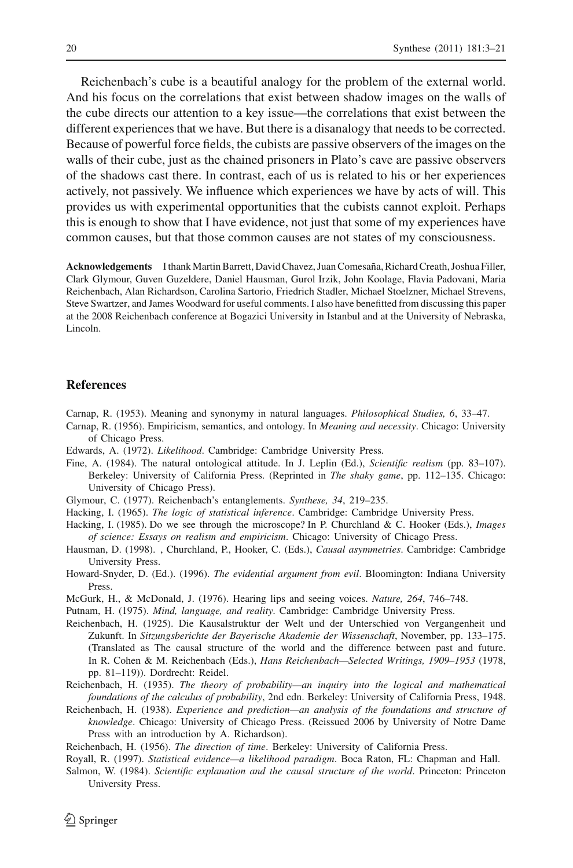Reichenbach's cube is a beautiful analogy for the problem of the external world. And his focus on the correlations that exist between shadow images on the walls of the cube directs our attention to a key issue—the correlations that exist between the different experiences that we have. But there is a disanalogy that needs to be corrected. Because of powerful force fields, the cubists are passive observers of the images on the walls of their cube, just as the chained prisoners in Plato's cave are passive observers of the shadows cast there. In contrast, each of us is related to his or her experiences actively, not passively. We influence which experiences we have by acts of will. This provides us with experimental opportunities that the cubists cannot exploit. Perhaps this is enough to show that I have evidence, not just that some of my experiences have common causes, but that those common causes are not states of my consciousness.

**Acknowledgements** I thank Martin Barrett, David Chavez, Juan Comesaña, Richard Creath, Joshua Filler, Clark Glymour, Guven Guzeldere, Daniel Hausman, Gurol Irzik, John Koolage, Flavia Padovani, Maria Reichenbach, Alan Richardson, Carolina Sartorio, Friedrich Stadler, Michael Stoelzner, Michael Strevens, Steve Swartzer, and James Woodward for useful comments. I also have benefitted from discussing this paper at the 2008 Reichenbach conference at Bogazici University in Istanbul and at the University of Nebraska, Lincoln.

#### **References**

- Carnap, R. (1953). Meaning and synonymy in natural languages. *Philosophical Studies, 6*, 33–47.
- Carnap, R. (1956). Empiricism, semantics, and ontology. In *Meaning and necessity*. Chicago: University of Chicago Press.
- Edwards, A. (1972). *Likelihood*. Cambridge: Cambridge University Press.
- Fine, A. (1984). The natural ontological attitude. In J. Leplin (Ed.), *Scientific realism* (pp. 83–107). Berkeley: University of California Press. (Reprinted in *The shaky game*, pp. 112–135. Chicago: University of Chicago Press).
- Glymour, C. (1977). Reichenbach's entanglements. *Synthese, 34*, 219–235.
- Hacking, I. (1965). *The logic of statistical inference*. Cambridge: Cambridge University Press.
- Hacking, I. (1985). Do we see through the microscope? In P. Churchland & C. Hooker (Eds.), *Images of science: Essays on realism and empiricism*. Chicago: University of Chicago Press.
- Hausman, D. (1998). , Churchland, P., Hooker, C. (Eds.), *Causal asymmetries*. Cambridge: Cambridge University Press.
- Howard-Snyder, D. (Ed.). (1996). *The evidential argument from evil*. Bloomington: Indiana University Press.
- McGurk, H., & McDonald, J. (1976). Hearing lips and seeing voices. *Nature, 264*, 746–748.
- Putnam, H. (1975). *Mind, language, and reality*. Cambridge: Cambridge University Press.
- Reichenbach, H. (1925). Die Kausalstruktur der Welt und der Unterschied von Vergangenheit und Zukunft. In *Sitzungsberichte der Bayerische Akademie der Wissenschaft*, November, pp. 133–175. (Translated as The causal structure of the world and the difference between past and future. In R. Cohen & M. Reichenbach (Eds.), *Hans Reichenbach—Selected Writings, 1909–1953* (1978, pp. 81–119)). Dordrecht: Reidel.
- Reichenbach, H. (1935). *The theory of probability—an inquiry into the logical and mathematical foundations of the calculus of probability*, 2nd edn. Berkeley: University of California Press, 1948.
- Reichenbach, H. (1938). *Experience and prediction—an analysis of the foundations and structure of knowledge*. Chicago: University of Chicago Press. (Reissued 2006 by University of Notre Dame Press with an introduction by A. Richardson).
- Reichenbach, H. (1956). *The direction of time*. Berkeley: University of California Press.

Salmon, W. (1984). *Scientific explanation and the causal structure of the world*. Princeton: Princeton University Press.

Royall, R. (1997). *Statistical evidence—a likelihood paradigm*. Boca Raton, FL: Chapman and Hall.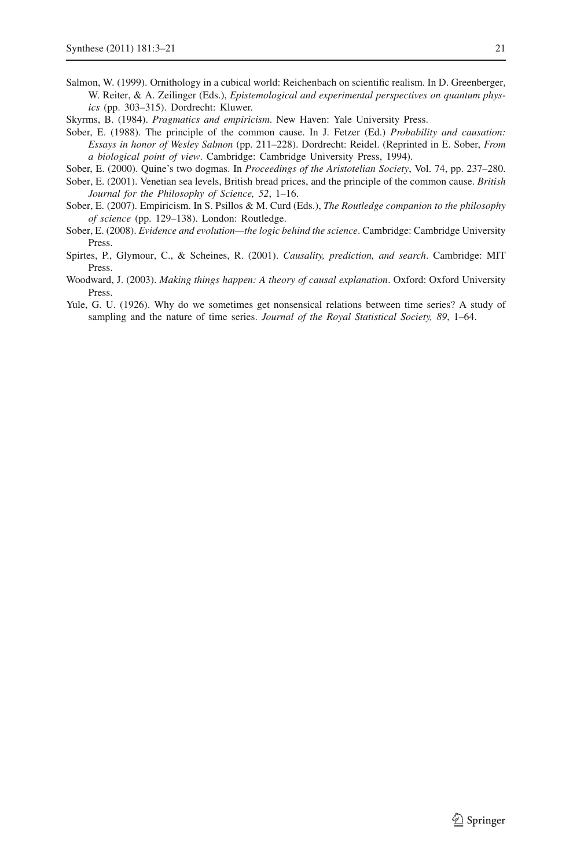- Salmon, W. (1999). Ornithology in a cubical world: Reichenbach on scientific realism. In D. Greenberger, W. Reiter, & A. Zeilinger (Eds.), *Epistemological and experimental perspectives on quantum physics* (pp. 303–315). Dordrecht: Kluwer.
- Skyrms, B. (1984). *Pragmatics and empiricism*. New Haven: Yale University Press.
- Sober, E. (1988). The principle of the common cause. In J. Fetzer (Ed.) *Probability and causation: Essays in honor of Wesley Salmon* (pp. 211–228). Dordrecht: Reidel. (Reprinted in E. Sober, *From a biological point of view*. Cambridge: Cambridge University Press, 1994).
- Sober, E. (2000). Quine's two dogmas. In *Proceedings of the Aristotelian Society*, Vol. 74, pp. 237–280.
- Sober, E. (2001). Venetian sea levels, British bread prices, and the principle of the common cause. *British Journal for the Philosophy of Science, 52*, 1–16.
- Sober, E. (2007). Empiricism. In S. Psillos & M. Curd (Eds.), *The Routledge companion to the philosophy of science* (pp. 129–138). London: Routledge.
- Sober, E. (2008). *Evidence and evolution—the logic behind the science*. Cambridge: Cambridge University Press.
- Spirtes, P., Glymour, C., & Scheines, R. (2001). *Causality, prediction, and search*. Cambridge: MIT Press.
- Woodward, J. (2003). *Making things happen: A theory of causal explanation*. Oxford: Oxford University Press.
- Yule, G. U. (1926). Why do we sometimes get nonsensical relations between time series? A study of sampling and the nature of time series. *Journal of the Royal Statistical Society, 89*, 1–64.